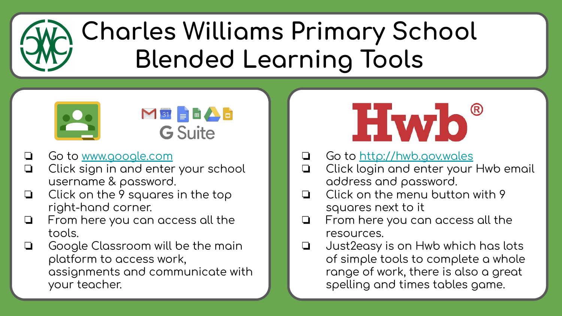## **Charles Williams Primary School Blended Learning Tools**





- Go to www.google.com  $\Box$
- Click sign in and enter your school  $\Box$ username & password.
- Click on the 9 squares in the top  $\Box$ right-hand corner.
- From here you can access all the  $\Box$ tools.
- Google Classroom will be the main  $\Box$ platform to access work. assignments and communicate with your teacher.



- Go to http://hwb.gov.wales  $\Box$
- Click login and enter your Hwb email  $\Box$ address and password.
- Click on the menu button with 9  $\Box$ squares next to it
- $\Box$ From here you can access all the resources.
- Just 2 easy is on Hwb which has lots  $\Box$ of simple tools to complete a whole range of work, there is also a great spelling and times tables game.